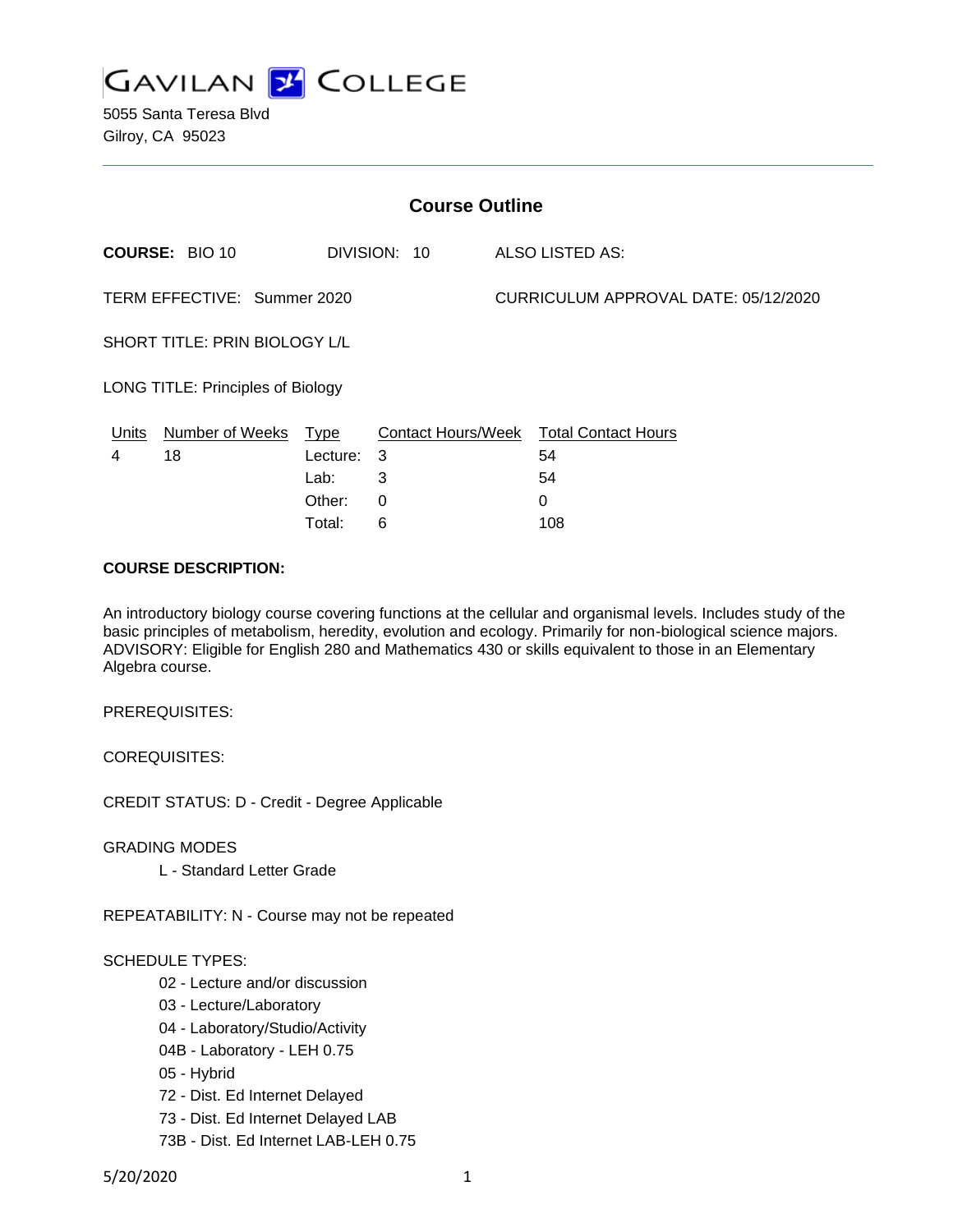

5055 Santa Teresa Blvd Gilroy, CA 95023

| <b>Course Outline</b>             |                       |          |              |                                      |                                        |
|-----------------------------------|-----------------------|----------|--------------|--------------------------------------|----------------------------------------|
|                                   | <b>COURSE: BIO 10</b> |          | DIVISION: 10 |                                      | ALSO LISTED AS:                        |
| TERM EFFECTIVE: Summer 2020       |                       |          |              | CURRICULUM APPROVAL DATE: 05/12/2020 |                                        |
| SHORT TITLE: PRIN BIOLOGY L/L     |                       |          |              |                                      |                                        |
| LONG TITLE: Principles of Biology |                       |          |              |                                      |                                        |
| Units                             | Number of Weeks Type  |          |              |                                      | Contact Hours/Week Total Contact Hours |
| 4                                 | 18                    | Lecture: | 3            |                                      | 54                                     |
|                                   |                       | Lab:     | 3            |                                      | 54                                     |
|                                   |                       | Other:   | 0            |                                      | 0                                      |
|                                   |                       | Total:   | 6            |                                      | 108                                    |

#### **COURSE DESCRIPTION:**

An introductory biology course covering functions at the cellular and organismal levels. Includes study of the basic principles of metabolism, heredity, evolution and ecology. Primarily for non-biological science majors. ADVISORY: Eligible for English 280 and Mathematics 430 or skills equivalent to those in an Elementary Algebra course.

PREREQUISITES:

COREQUISITES:

CREDIT STATUS: D - Credit - Degree Applicable

GRADING MODES

L - Standard Letter Grade

REPEATABILITY: N - Course may not be repeated

#### SCHEDULE TYPES:

- 02 Lecture and/or discussion
- 03 Lecture/Laboratory
- 04 Laboratory/Studio/Activity
- 04B Laboratory LEH 0.75
- 05 Hybrid
- 72 Dist. Ed Internet Delayed
- 73 Dist. Ed Internet Delayed LAB
- 73B Dist. Ed Internet LAB-LEH 0.75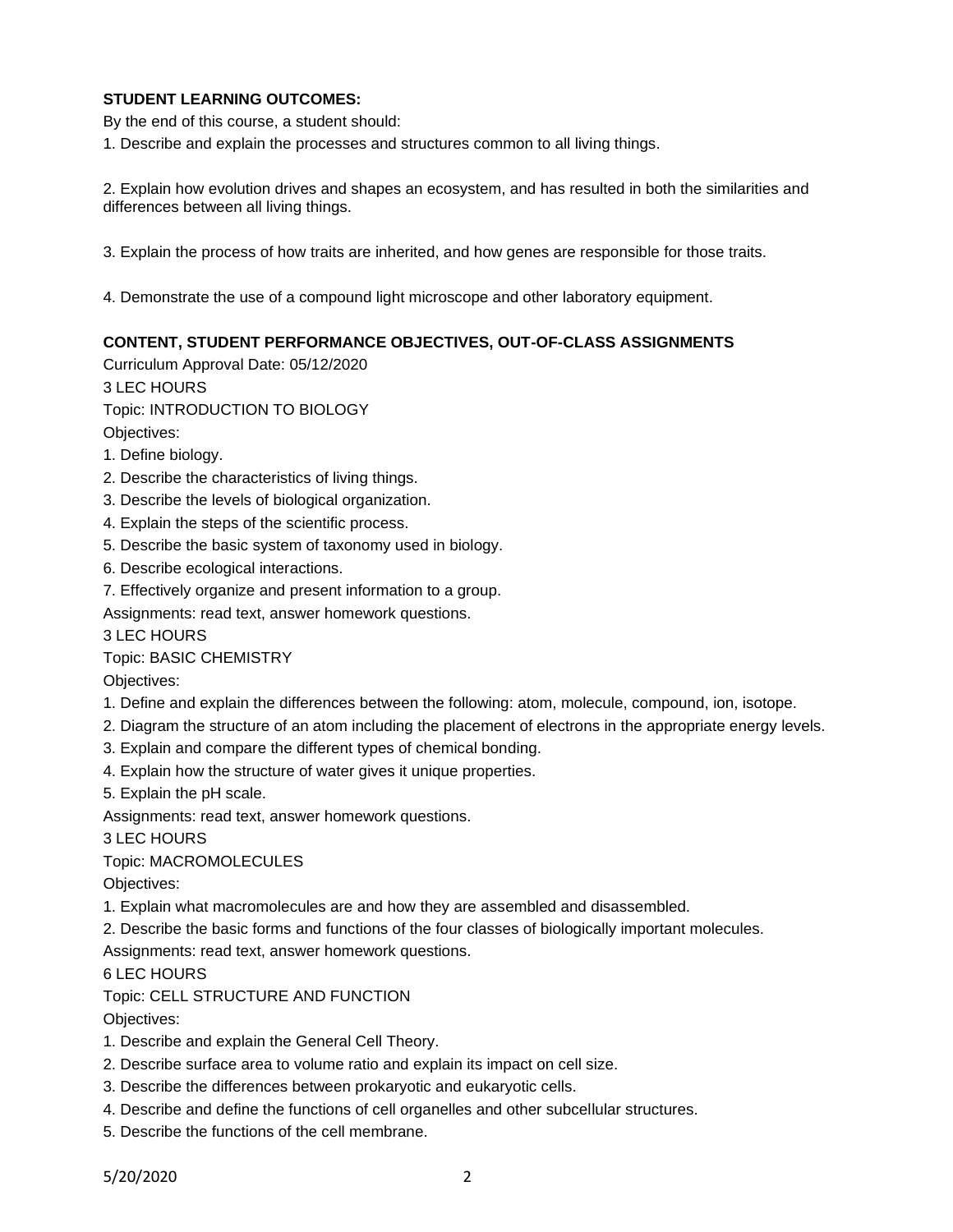# **STUDENT LEARNING OUTCOMES:**

By the end of this course, a student should:

1. Describe and explain the processes and structures common to all living things.

2. Explain how evolution drives and shapes an ecosystem, and has resulted in both the similarities and differences between all living things.

3. Explain the process of how traits are inherited, and how genes are responsible for those traits.

4. Demonstrate the use of a compound light microscope and other laboratory equipment.

# **CONTENT, STUDENT PERFORMANCE OBJECTIVES, OUT-OF-CLASS ASSIGNMENTS**

Curriculum Approval Date: 05/12/2020

3 LEC HOURS

Topic: INTRODUCTION TO BIOLOGY

Objectives:

- 1. Define biology.
- 2. Describe the characteristics of living things.
- 3. Describe the levels of biological organization.
- 4. Explain the steps of the scientific process.
- 5. Describe the basic system of taxonomy used in biology.
- 6. Describe ecological interactions.

7. Effectively organize and present information to a group.

Assignments: read text, answer homework questions.

3 LEC HOURS

Topic: BASIC CHEMISTRY

Objectives:

- 1. Define and explain the differences between the following: atom, molecule, compound, ion, isotope.
- 2. Diagram the structure of an atom including the placement of electrons in the appropriate energy levels.
- 3. Explain and compare the different types of chemical bonding.
- 4. Explain how the structure of water gives it unique properties.

5. Explain the pH scale.

Assignments: read text, answer homework questions.

3 LEC HOURS

Topic: MACROMOLECULES

Objectives:

- 1. Explain what macromolecules are and how they are assembled and disassembled.
- 2. Describe the basic forms and functions of the four classes of biologically important molecules.

Assignments: read text, answer homework questions.

6 LEC HOURS

Topic: CELL STRUCTURE AND FUNCTION

Objectives:

- 1. Describe and explain the General Cell Theory.
- 2. Describe surface area to volume ratio and explain its impact on cell size.
- 3. Describe the differences between prokaryotic and eukaryotic cells.
- 4. Describe and define the functions of cell organelles and other subcellular structures.
- 5. Describe the functions of the cell membrane.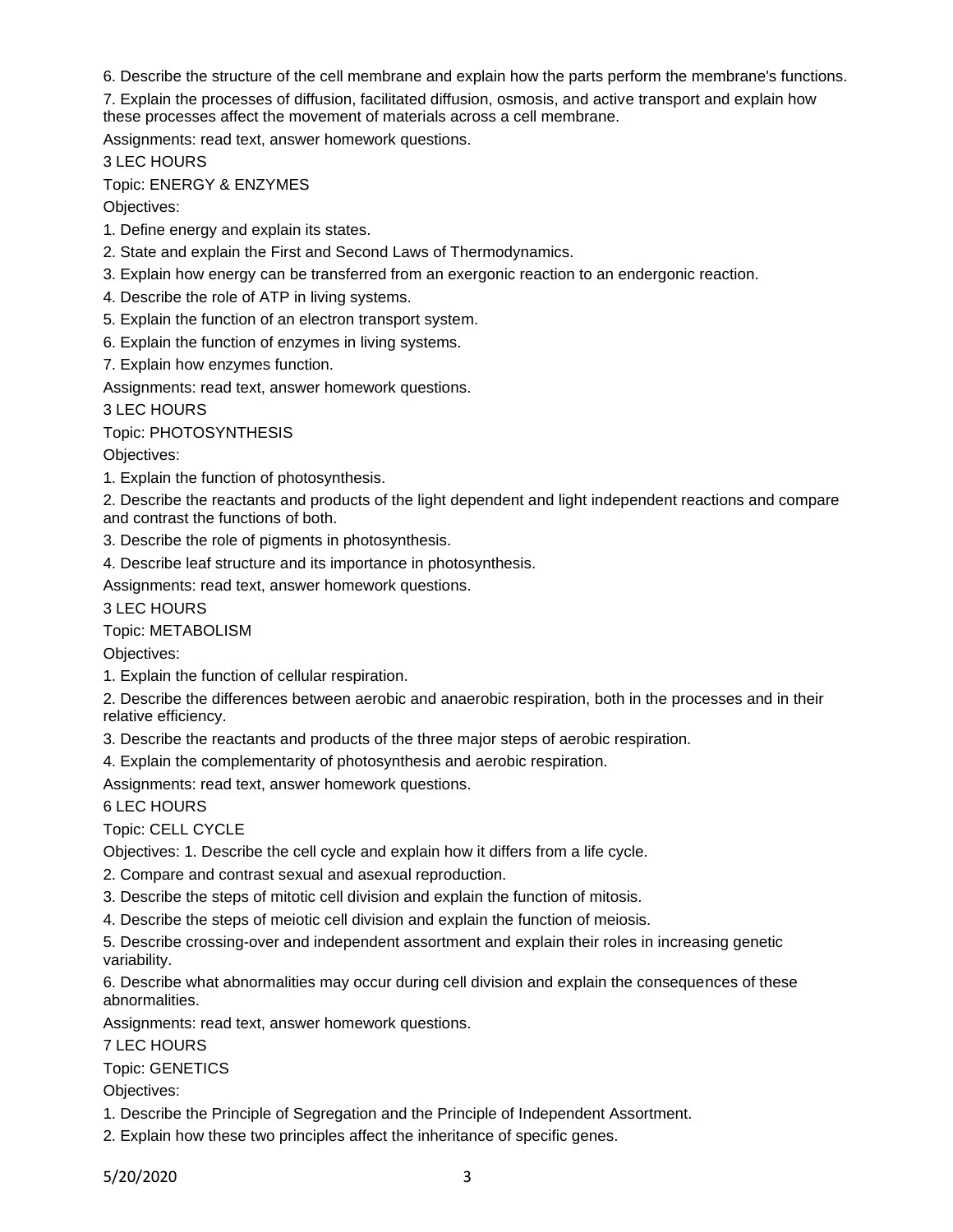6. Describe the structure of the cell membrane and explain how the parts perform the membrane's functions.

7. Explain the processes of diffusion, facilitated diffusion, osmosis, and active transport and explain how these processes affect the movement of materials across a cell membrane.

Assignments: read text, answer homework questions.

3 LEC HOURS

Topic: ENERGY & ENZYMES

Objectives:

- 1. Define energy and explain its states.
- 2. State and explain the First and Second Laws of Thermodynamics.
- 3. Explain how energy can be transferred from an exergonic reaction to an endergonic reaction.
- 4. Describe the role of ATP in living systems.
- 5. Explain the function of an electron transport system.
- 6. Explain the function of enzymes in living systems.
- 7. Explain how enzymes function.

Assignments: read text, answer homework questions.

3 LEC HOURS

Topic: PHOTOSYNTHESIS

Objectives:

1. Explain the function of photosynthesis.

2. Describe the reactants and products of the light dependent and light independent reactions and compare and contrast the functions of both.

3. Describe the role of pigments in photosynthesis.

4. Describe leaf structure and its importance in photosynthesis.

Assignments: read text, answer homework questions.

3 LEC HOURS

Topic: METABOLISM

Objectives:

1. Explain the function of cellular respiration.

2. Describe the differences between aerobic and anaerobic respiration, both in the processes and in their relative efficiency.

3. Describe the reactants and products of the three major steps of aerobic respiration.

4. Explain the complementarity of photosynthesis and aerobic respiration.

Assignments: read text, answer homework questions.

6 LEC HOURS

Topic: CELL CYCLE

Objectives: 1. Describe the cell cycle and explain how it differs from a life cycle.

- 2. Compare and contrast sexual and asexual reproduction.
- 3. Describe the steps of mitotic cell division and explain the function of mitosis.
- 4. Describe the steps of meiotic cell division and explain the function of meiosis.

5. Describe crossing-over and independent assortment and explain their roles in increasing genetic variability.

6. Describe what abnormalities may occur during cell division and explain the consequences of these abnormalities.

Assignments: read text, answer homework questions.

7 LEC HOURS

Topic: GENETICS

Objectives:

- 1. Describe the Principle of Segregation and the Principle of Independent Assortment.
- 2. Explain how these two principles affect the inheritance of specific genes.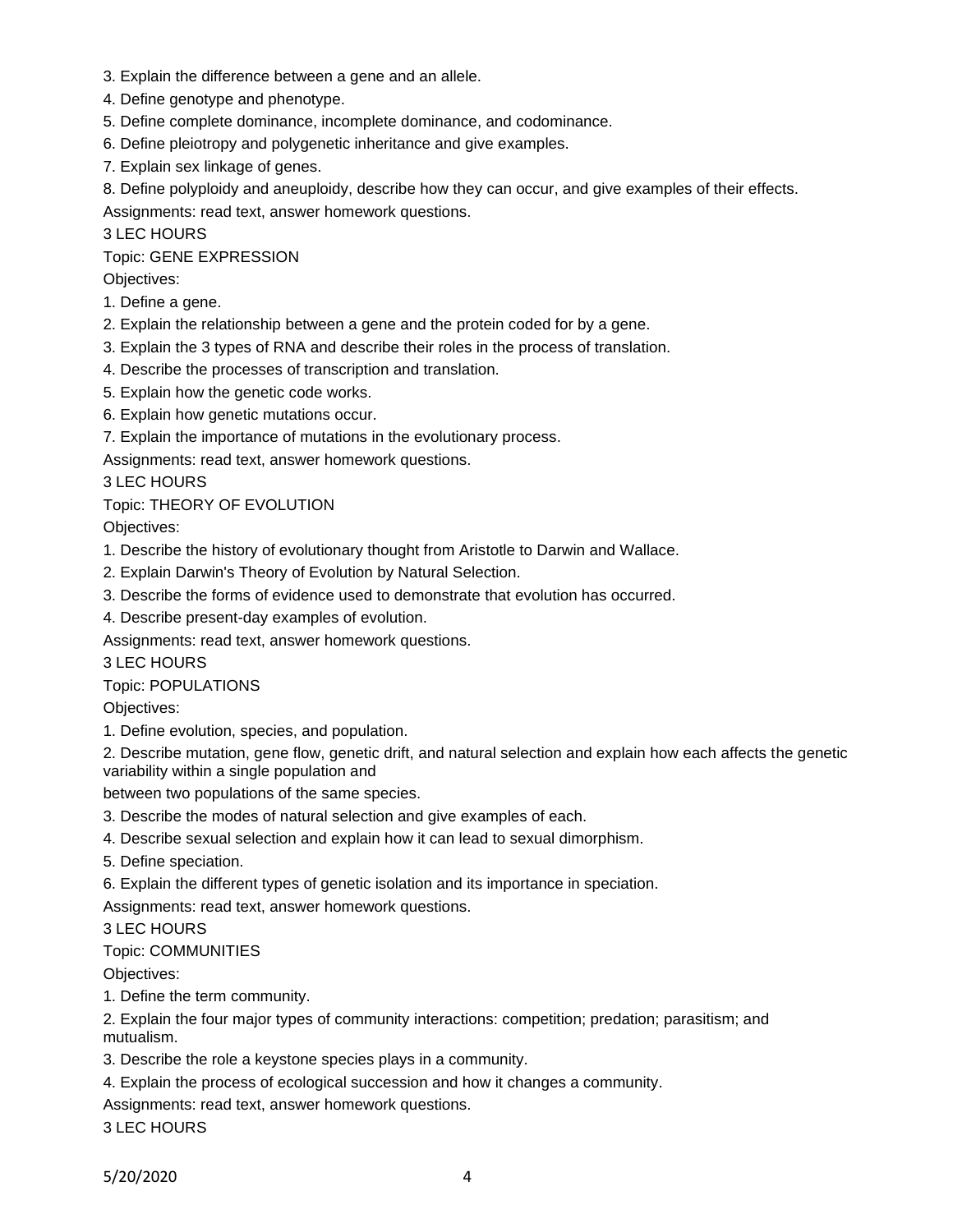- 3. Explain the difference between a gene and an allele.
- 4. Define genotype and phenotype.
- 5. Define complete dominance, incomplete dominance, and codominance.
- 6. Define pleiotropy and polygenetic inheritance and give examples.
- 7. Explain sex linkage of genes.
- 8. Define polyploidy and aneuploidy, describe how they can occur, and give examples of their effects.

Assignments: read text, answer homework questions.

3 LEC HOURS

Topic: GENE EXPRESSION

Objectives:

- 1. Define a gene.
- 2. Explain the relationship between a gene and the protein coded for by a gene.
- 3. Explain the 3 types of RNA and describe their roles in the process of translation.
- 4. Describe the processes of transcription and translation.
- 5. Explain how the genetic code works.
- 6. Explain how genetic mutations occur.
- 7. Explain the importance of mutations in the evolutionary process.

Assignments: read text, answer homework questions.

3 LEC HOURS

Topic: THEORY OF EVOLUTION

Objectives:

- 1. Describe the history of evolutionary thought from Aristotle to Darwin and Wallace.
- 2. Explain Darwin's Theory of Evolution by Natural Selection.
- 3. Describe the forms of evidence used to demonstrate that evolution has occurred.

4. Describe present-day examples of evolution.

Assignments: read text, answer homework questions.

3 LEC HOURS

Topic: POPULATIONS

Objectives:

1. Define evolution, species, and population.

2. Describe mutation, gene flow, genetic drift, and natural selection and explain how each affects the genetic variability within a single population and

between two populations of the same species.

- 3. Describe the modes of natural selection and give examples of each.
- 4. Describe sexual selection and explain how it can lead to sexual dimorphism.
- 5. Define speciation.
- 6. Explain the different types of genetic isolation and its importance in speciation.

Assignments: read text, answer homework questions.

3 LEC HOURS

### Topic: COMMUNITIES

Objectives:

1. Define the term community.

2. Explain the four major types of community interactions: competition; predation; parasitism; and mutualism.

- 3. Describe the role a keystone species plays in a community.
- 4. Explain the process of ecological succession and how it changes a community.

Assignments: read text, answer homework questions.

3 LEC HOURS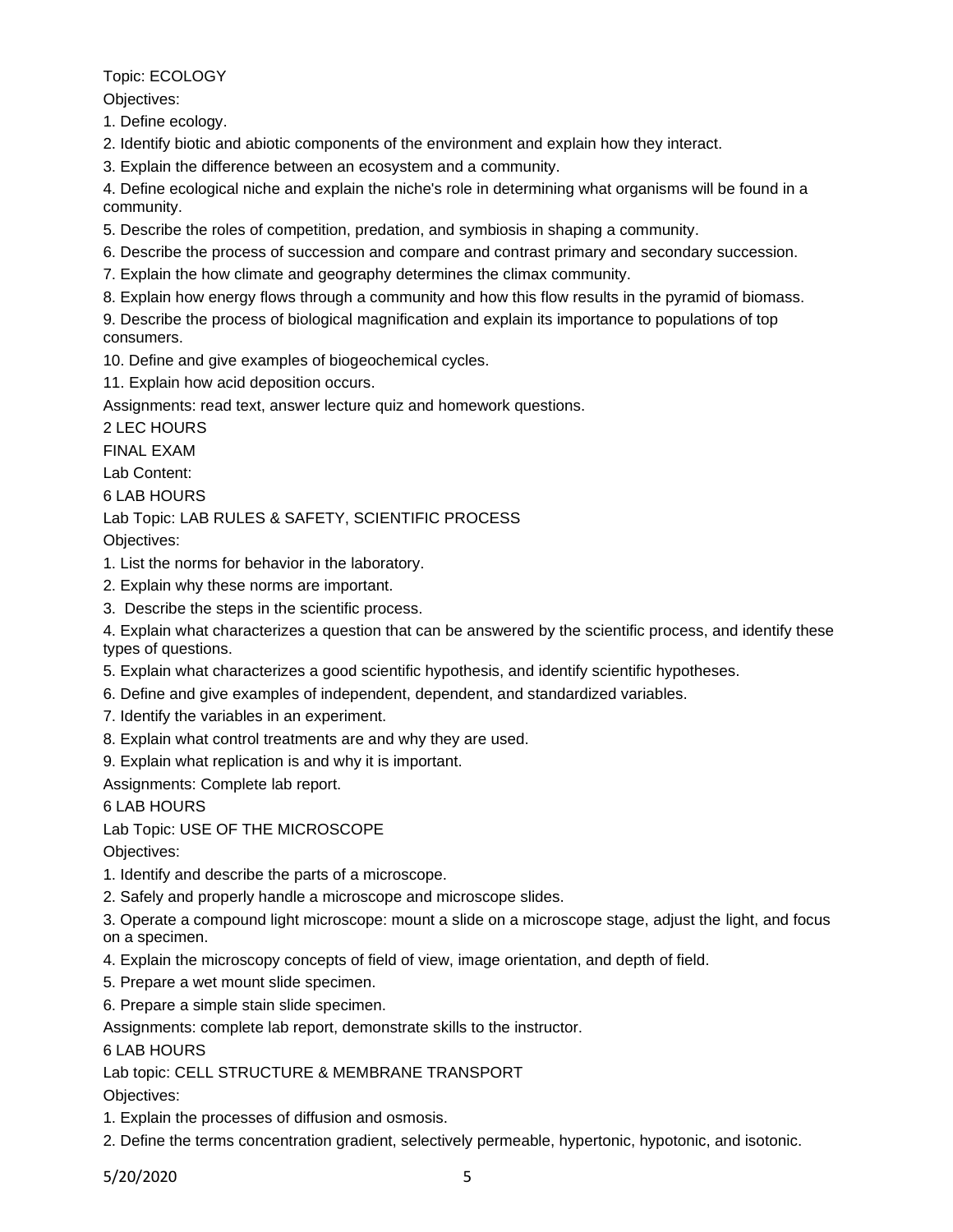Topic: ECOLOGY

Objectives:

1. Define ecology.

2. Identify biotic and abiotic components of the environment and explain how they interact.

3. Explain the difference between an ecosystem and a community.

4. Define ecological niche and explain the niche's role in determining what organisms will be found in a community.

5. Describe the roles of competition, predation, and symbiosis in shaping a community.

6. Describe the process of succession and compare and contrast primary and secondary succession.

7. Explain the how climate and geography determines the climax community.

8. Explain how energy flows through a community and how this flow results in the pyramid of biomass.

9. Describe the process of biological magnification and explain its importance to populations of top consumers.

10. Define and give examples of biogeochemical cycles.

11. Explain how acid deposition occurs.

Assignments: read text, answer lecture quiz and homework questions.

2 LEC HOURS

FINAL EXAM

Lab Content:

6 LAB HOURS

Lab Topic: LAB RULES & SAFETY, SCIENTIFIC PROCESS

Objectives:

- 1. List the norms for behavior in the laboratory.
- 2. Explain why these norms are important.
- 3. Describe the steps in the scientific process.

4. Explain what characterizes a question that can be answered by the scientific process, and identify these types of questions.

- 5. Explain what characterizes a good scientific hypothesis, and identify scientific hypotheses.
- 6. Define and give examples of independent, dependent, and standardized variables.
- 7. Identify the variables in an experiment.
- 8. Explain what control treatments are and why they are used.
- 9. Explain what replication is and why it is important.

Assignments: Complete lab report.

6 LAB HOURS

Lab Topic: USE OF THE MICROSCOPE

Objectives:

- 1. Identify and describe the parts of a microscope.
- 2. Safely and properly handle a microscope and microscope slides.

3. Operate a compound light microscope: mount a slide on a microscope stage, adjust the light, and focus on a specimen.

- 4. Explain the microscopy concepts of field of view, image orientation, and depth of field.
- 5. Prepare a wet mount slide specimen.
- 6. Prepare a simple stain slide specimen.

Assignments: complete lab report, demonstrate skills to the instructor.

6 LAB HOURS

Lab topic: CELL STRUCTURE & MEMBRANE TRANSPORT

Objectives:

- 1. Explain the processes of diffusion and osmosis.
- 2. Define the terms concentration gradient, selectively permeable, hypertonic, hypotonic, and isotonic.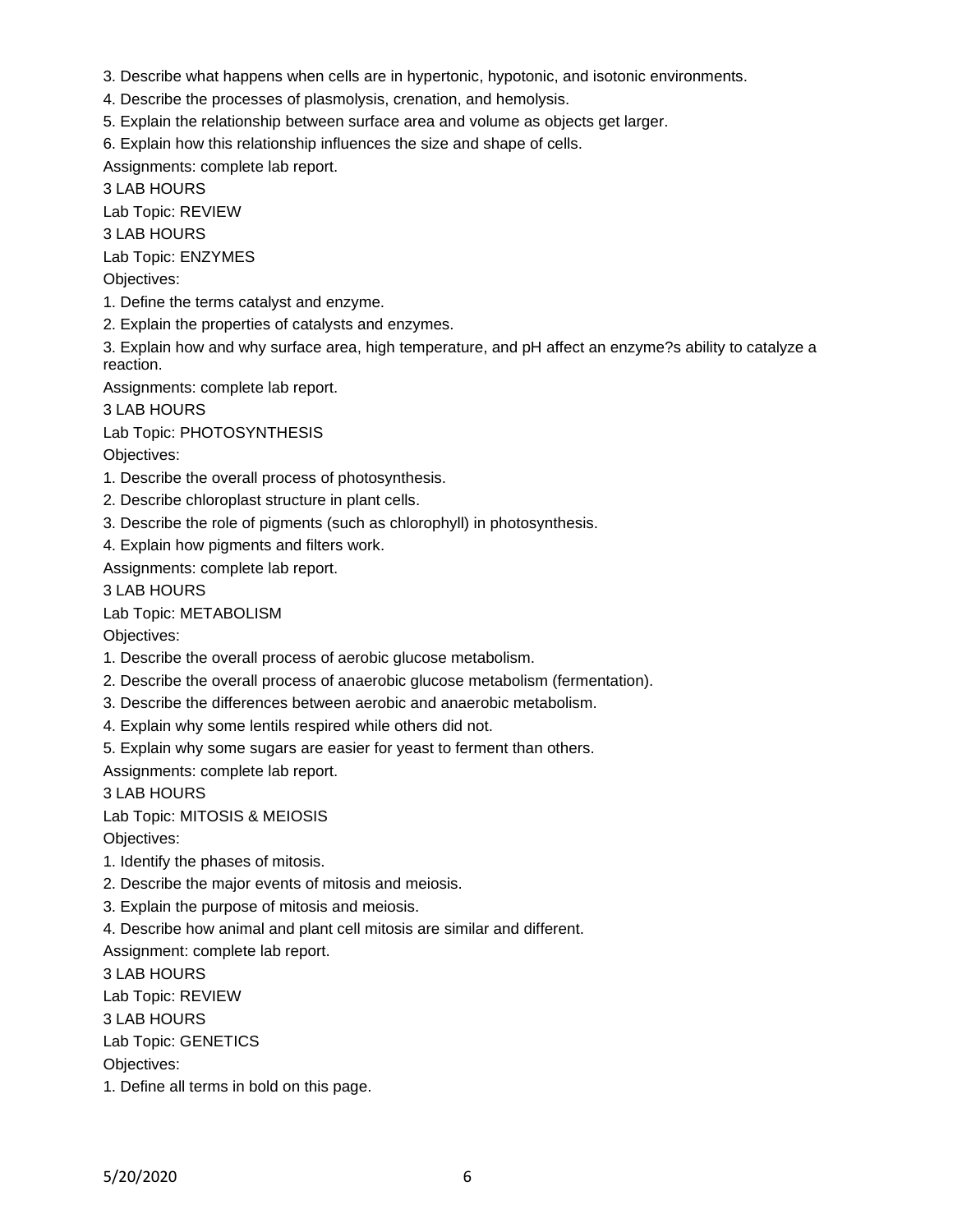- 3. Describe what happens when cells are in hypertonic, hypotonic, and isotonic environments.
- 4. Describe the processes of plasmolysis, crenation, and hemolysis.
- 5. Explain the relationship between surface area and volume as objects get larger.
- 6. Explain how this relationship influences the size and shape of cells.

Assignments: complete lab report.

3 LAB HOURS

Lab Topic: REVIEW

3 LAB HOURS

Lab Topic: ENZYMES

Objectives:

- 1. Define the terms catalyst and enzyme.
- 2. Explain the properties of catalysts and enzymes.

3. Explain how and why surface area, high temperature, and pH affect an enzyme?s ability to catalyze a reaction.

Assignments: complete lab report.

3 LAB HOURS

Lab Topic: PHOTOSYNTHESIS

Objectives:

- 1. Describe the overall process of photosynthesis.
- 2. Describe chloroplast structure in plant cells.
- 3. Describe the role of pigments (such as chlorophyll) in photosynthesis.
- 4. Explain how pigments and filters work.

Assignments: complete lab report.

3 LAB HOURS

# Lab Topic: METABOLISM

Objectives:

- 1. Describe the overall process of aerobic glucose metabolism.
- 2. Describe the overall process of anaerobic glucose metabolism (fermentation).
- 3. Describe the differences between aerobic and anaerobic metabolism.
- 4. Explain why some lentils respired while others did not.
- 5. Explain why some sugars are easier for yeast to ferment than others.

Assignments: complete lab report.

3 LAB HOURS

Lab Topic: MITOSIS & MEIOSIS

Objectives:

- 1. Identify the phases of mitosis.
- 2. Describe the major events of mitosis and meiosis.
- 3. Explain the purpose of mitosis and meiosis.
- 4. Describe how animal and plant cell mitosis are similar and different.

Assignment: complete lab report.

3 LAB HOURS

Lab Topic: REVIEW

3 LAB HOURS

Lab Topic: GENETICS

Objectives:

1. Define all terms in bold on this page.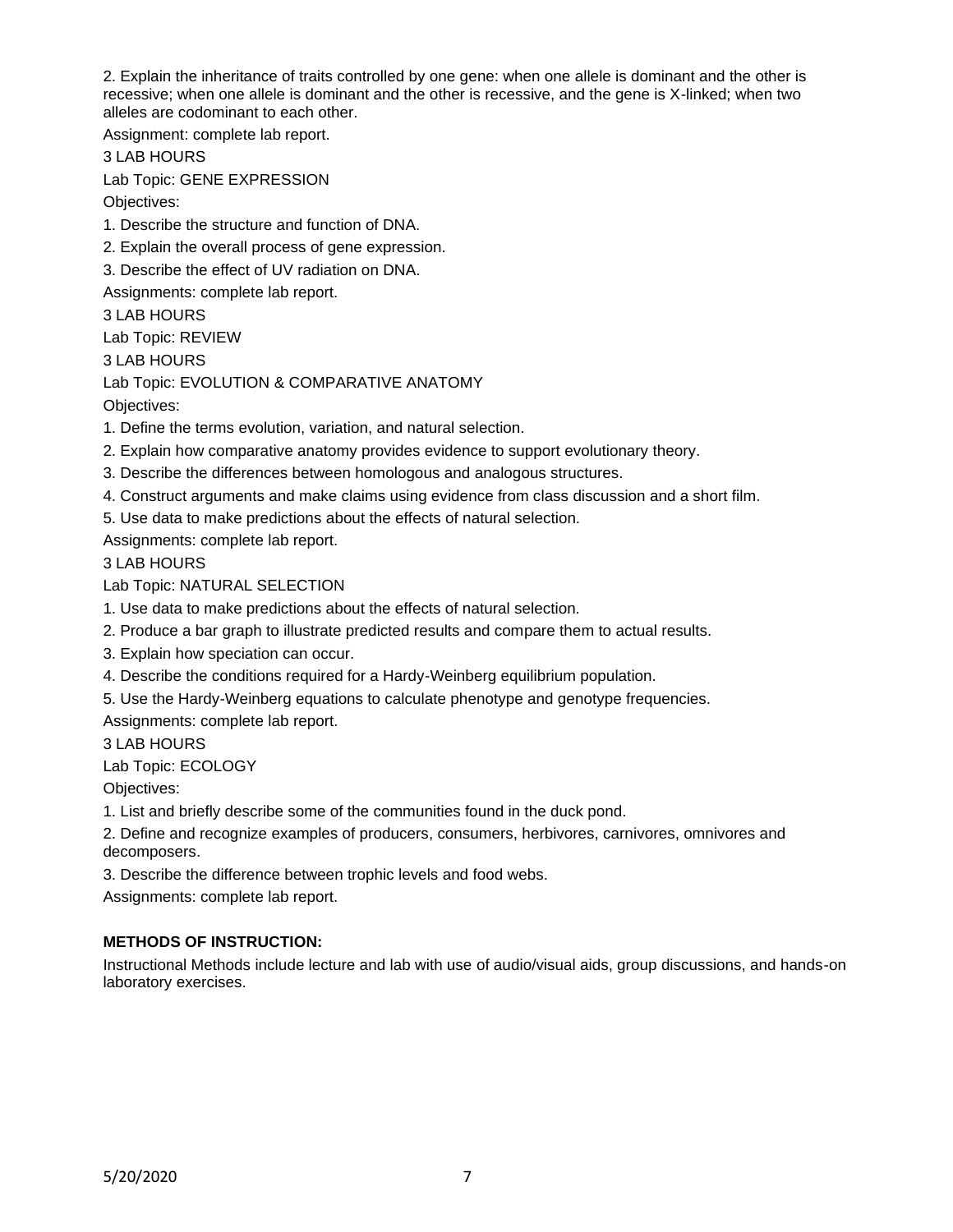2. Explain the inheritance of traits controlled by one gene: when one allele is dominant and the other is recessive; when one allele is dominant and the other is recessive, and the gene is X-linked; when two alleles are codominant to each other.

Assignment: complete lab report.

3 LAB HOURS

Lab Topic: GENE EXPRESSION

Objectives:

1. Describe the structure and function of DNA.

2. Explain the overall process of gene expression.

3. Describe the effect of UV radiation on DNA.

Assignments: complete lab report.

3 LAB HOURS

Lab Topic: REVIEW

3 LAB HOURS

Lab Topic: EVOLUTION & COMPARATIVE ANATOMY

Objectives:

1. Define the terms evolution, variation, and natural selection.

2. Explain how comparative anatomy provides evidence to support evolutionary theory.

3. Describe the differences between homologous and analogous structures.

- 4. Construct arguments and make claims using evidence from class discussion and a short film.
- 5. Use data to make predictions about the effects of natural selection.

Assignments: complete lab report.

3 LAB HOURS

Lab Topic: NATURAL SELECTION

- 1. Use data to make predictions about the effects of natural selection.
- 2. Produce a bar graph to illustrate predicted results and compare them to actual results.
- 3. Explain how speciation can occur.
- 4. Describe the conditions required for a Hardy-Weinberg equilibrium population.
- 5. Use the Hardy-Weinberg equations to calculate phenotype and genotype frequencies.

Assignments: complete lab report.

3 LAB HOURS

Lab Topic: ECOLOGY

Objectives:

1. List and briefly describe some of the communities found in the duck pond.

2. Define and recognize examples of producers, consumers, herbivores, carnivores, omnivores and decomposers.

3. Describe the difference between trophic levels and food webs.

Assignments: complete lab report.

### **METHODS OF INSTRUCTION:**

Instructional Methods include lecture and lab with use of audio/visual aids, group discussions, and hands-on laboratory exercises.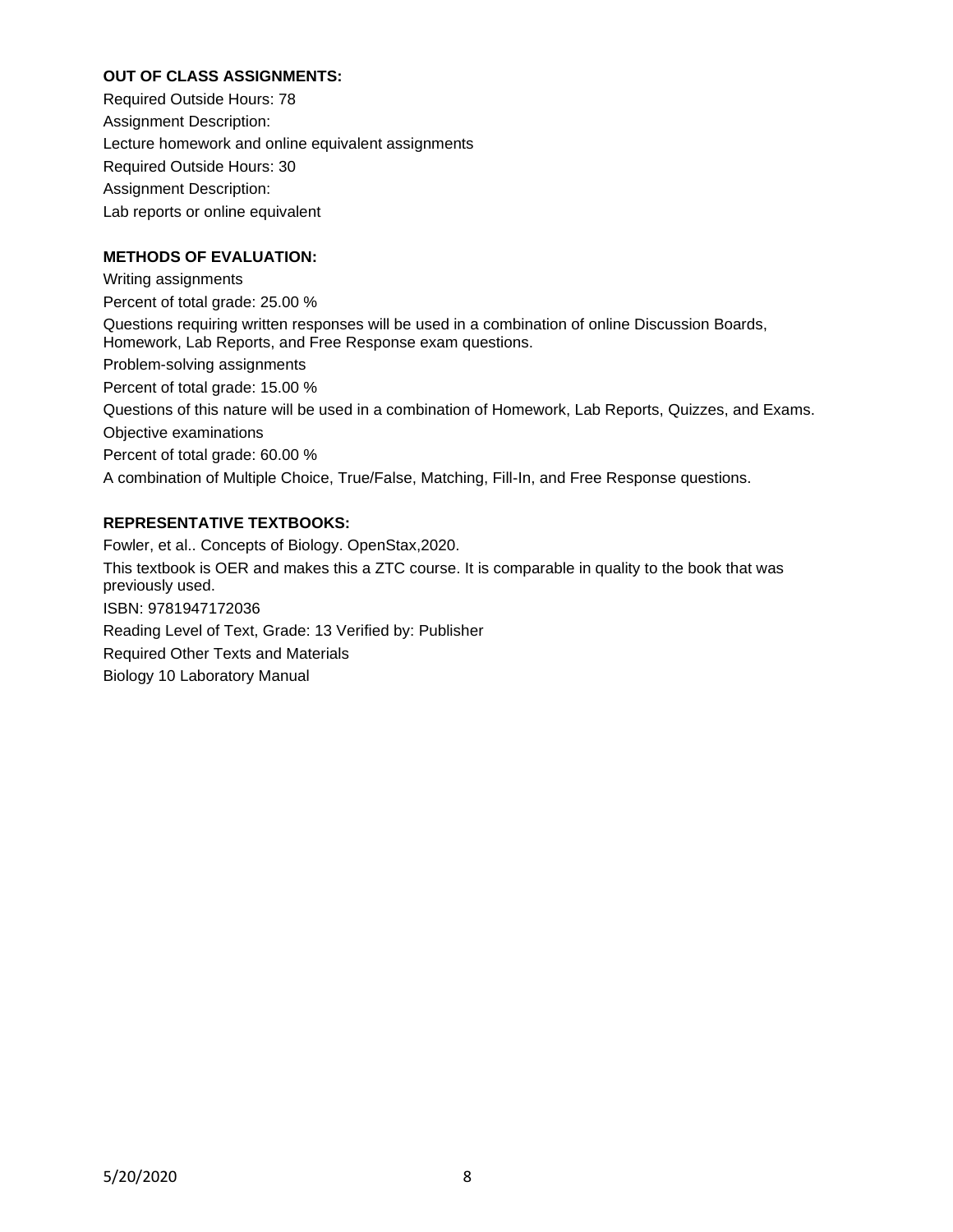## **OUT OF CLASS ASSIGNMENTS:**

Required Outside Hours: 78 Assignment Description: Lecture homework and online equivalent assignments Required Outside Hours: 30 Assignment Description: Lab reports or online equivalent

## **METHODS OF EVALUATION:**

Writing assignments Percent of total grade: 25.00 % Questions requiring written responses will be used in a combination of online Discussion Boards, Homework, Lab Reports, and Free Response exam questions. Problem-solving assignments Percent of total grade: 15.00 % Questions of this nature will be used in a combination of Homework, Lab Reports, Quizzes, and Exams. Objective examinations Percent of total grade: 60.00 % A combination of Multiple Choice, True/False, Matching, Fill-In, and Free Response questions.

## **REPRESENTATIVE TEXTBOOKS:**

Fowler, et al.. Concepts of Biology. OpenStax,2020. This textbook is OER and makes this a ZTC course. It is comparable in quality to the book that was previously used. ISBN: 9781947172036 Reading Level of Text, Grade: 13 Verified by: Publisher Required Other Texts and Materials Biology 10 Laboratory Manual